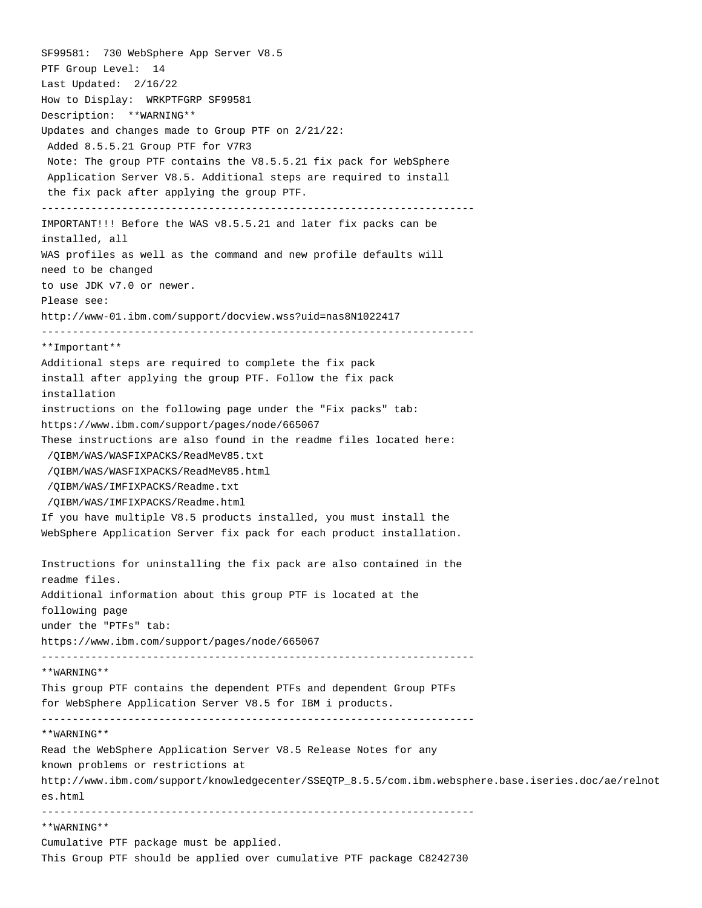SF99581: 730 WebSphere App Server V8.5 PTF Group Level: 14 Last Updated: 2/16/22 How to Display: WRKPTFGRP SF99581 Description: \*\*WARNING\*\* Updates and changes made to Group PTF on 2/21/22: Added 8.5.5.21 Group PTF for V7R3 Note: The group PTF contains the V8.5.5.21 fix pack for WebSphere Application Server V8.5. Additional steps are required to install the fix pack after applying the group PTF. ---------------------------------------------------------------------- IMPORTANT!!! Before the WAS v8.5.5.21 and later fix packs can be installed, all WAS profiles as well as the command and new profile defaults will need to be changed to use JDK v7.0 or newer. Please see: http://www-01.ibm.com/support/docview.wss?uid=nas8N1022417 ---------------------------------------------------------------------- \*\*Important\*\* Additional steps are required to complete the fix pack install after applying the group PTF. Follow the fix pack installation instructions on the following page under the "Fix packs" tab: https://www.ibm.com/support/pages/node/665067 These instructions are also found in the readme files located here: /QIBM/WAS/WASFIXPACKS/ReadMeV85.txt /QIBM/WAS/WASFIXPACKS/ReadMeV85.html /QIBM/WAS/IMFIXPACKS/Readme.txt /QIBM/WAS/IMFIXPACKS/Readme.html If you have multiple V8.5 products installed, you must install the WebSphere Application Server fix pack for each product installation. Instructions for uninstalling the fix pack are also contained in the readme files. Additional information about this group PTF is located at the following page under the "PTFs" tab: https://www.ibm.com/support/pages/node/665067 ---------------------------------------------------------------------- \*\*WARNING\*\* This group PTF contains the dependent PTFs and dependent Group PTFs for WebSphere Application Server V8.5 for IBM i products. ---------------------------------------------------------------------- \*\*WARNING\*\* Read the WebSphere Application Server V8.5 Release Notes for any known problems or restrictions at http://www.ibm.com/support/knowledgecenter/SSEQTP\_8.5.5/com.ibm.websphere.base.iseries.doc/ae/relnot es.html ---------------------------------------------------------------------- \*\*WARNING\*\* Cumulative PTF package must be applied. This Group PTF should be applied over cumulative PTF package C8242730